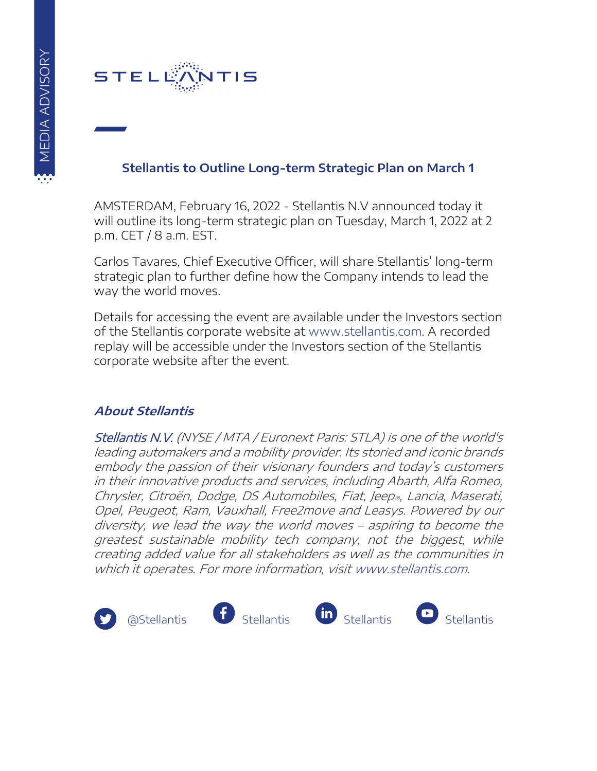

## **Stellantis to Outline Long-term Strategic Plan on March 1**

AMSTERDAM, February 16, 2022 - Stellantis N.V announced today it will outline its long-term strategic plan on Tuesday, March 1, 2022 at 2 p.m. CET / 8 a.m. EST.

Carlos Tavares, Chief Executive Officer, will share Stellantis' long-term strategic plan to further define how the Company intends to lead the way the world moves.

Details for accessing the event are available under the Investors section of the Stellantis corporate website at [www.stellantis.com.](http://www.stellantis.com/) A recorded replay will be accessible under the Investors section of the Stellantis corporate website after the event.

## **About Stellantis**

Stellantis N.V. (NYSE / MTA / Euronext Paris: STLA) is one of the world's leading automakers and a mobility provider. Its storied and iconic brands embody the passion of their visionary founders and today's customers in their innovative products and services, including Abarth, Alfa Romeo, Chrysler, Citroën, Dodge, DS Automobiles, Fiat, Jeep®, Lancia, Maserati, Opel, Peugeot, Ram, Vauxhall, Free2move and Leasys. Powered by our diversity, we lead the way the world moves – aspiring to become the greatest sustainable mobility tech company, not the biggest, while creating added value for all stakeholders as well as the communities in which it operates. For more information, visi[t www.stellantis.com.](http://www.stellantis.com/en)